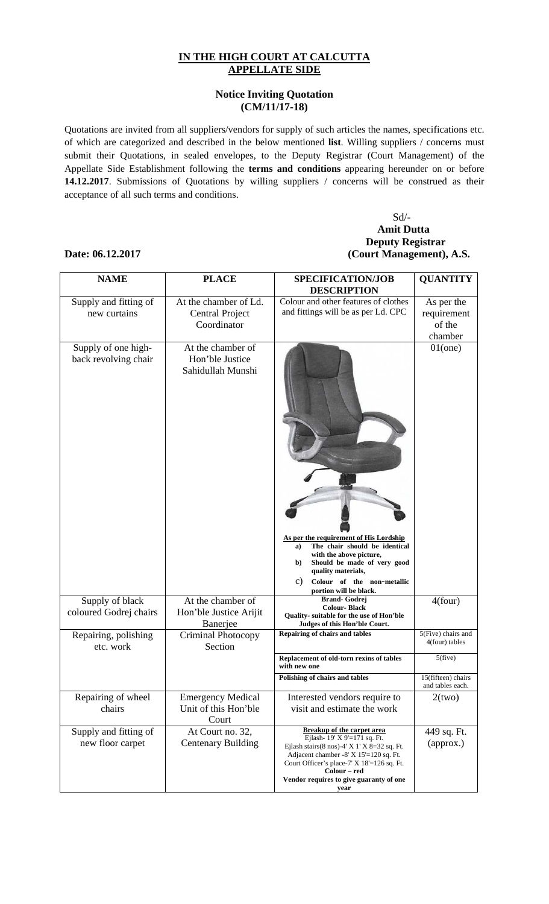## **IN THE HIGH COURT AT CALCUTTA APPELLATE SIDE**

## **Notice Inviting Quotation (CM/11/17-18)**

Quotations are invited from all suppliers/vendors for supply of such articles the names, specifications etc. of which are categorized and described in the below mentioned **list**. Willing suppliers / concerns must submit their Quotations, in sealed envelopes, to the Deputy Registrar (Court Management) of the Appellate Side Establishment following the **terms and conditions** appearing hereunder on or before **14.12.2017**. Submissions of Quotations by willing suppliers / concerns will be construed as their acceptance of all such terms and conditions.

## Sd/- **Amit Dutta Deputy Registrar Date: 06.12.2017 (Court Management), A.S.**

### **NAME PLACE SPECIFICATION/JOB DESCRIPTION QUANTITY**  Supply and fitting of new curtains At the chamber of Ld. Central Project Coordinator Colour and other features of clothes and fittings will be as per Ld. CPC As per the requirement of the chamber Supply of one highback revolving chair At the chamber of Hon'ble Justice Sahidullah Munshi **As per the requirement of His Lordship a) The chair should be identical with the above picture, b) Should be made of very good quality materials,**  c) **Colour of the non**-**metallic portion will be black.** 01(one) Supply of black coloured Godrej chairs At the chamber of Hon'ble Justice Arijit Banerjee **Brand- Godrej Colour- Black Quality- suitable for the use of Hon'ble Judges of this Hon'ble Court.**  $\frac{4(four)}{4(four)}$ Repairing, polishing etc. work Criminal Photocopy Section **Repairing of chairs and tables** 5(Five) chairs and 4(four) tables **Replacement of old-torn rexins of tables with new one**  5(five) **Polishing of chairs and tables** 15(fifteen) chairs and tables each. Repairing of wheel chairs Emergency Medical Unit of this Hon'ble Court Interested vendors require to visit and estimate the work  $2(two)$ Supply and fitting of new floor carpet At Court no. 32, Centenary Building **Breakup of the carpet area**  Ejlash- 19' X 9'=171 sq. Ft. Ejlash stairs(8 nos)-4' X 1' X 8=32 sq. Ft. Adjacent chamber -8' X 15'=120 sq. Ft. Court Officer's place-7' X 18'=126 sq. Ft. **Colour – red Vendor requires to give guaranty of one year**  449 sq. Ft. (approx.)